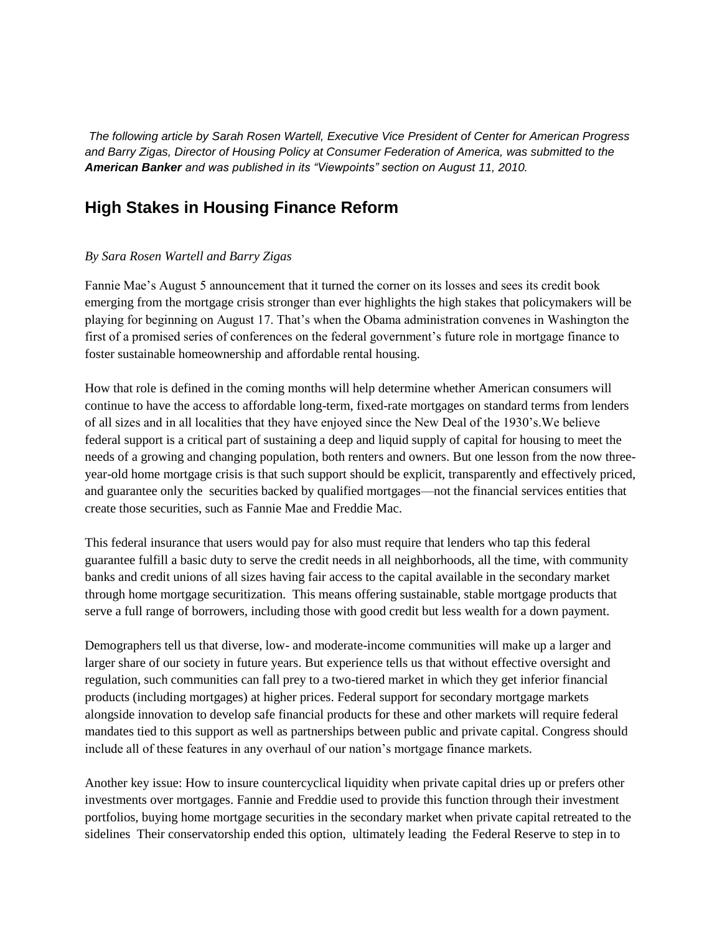*The following article by Sarah Rosen Wartell, Executive Vice President of Center for American Progress and Barry Zigas, Director of Housing Policy at Consumer Federation of America, was submitted to the American Banker and was published in its "Viewpoints" section on August 11, 2010.*

## **High Stakes in Housing Finance Reform**

## *By Sara Rosen Wartell and Barry Zigas*

Fannie Mae's August 5 announcement that it turned the corner on its losses and sees its credit book emerging from the mortgage crisis stronger than ever highlights the high stakes that policymakers will be playing for beginning on August 17. That's when the Obama administration convenes in Washington the first of a promised series of conferences on the federal government's future role in mortgage finance to foster sustainable homeownership and affordable rental housing.

How that role is defined in the coming months will help determine whether American consumers will continue to have the access to affordable long-term, fixed-rate mortgages on standard terms from lenders of all sizes and in all localities that they have enjoyed since the New Deal of the 1930's.We believe federal support is a critical part of sustaining a deep and liquid supply of capital for housing to meet the needs of a growing and changing population, both renters and owners. But one lesson from the now threeyear-old home mortgage crisis is that such support should be explicit, transparently and effectively priced, and guarantee only the securities backed by qualified mortgages—not the financial services entities that create those securities, such as Fannie Mae and Freddie Mac.

This federal insurance that users would pay for also must require that lenders who tap this federal guarantee fulfill a basic duty to serve the credit needs in all neighborhoods, all the time, with community banks and credit unions of all sizes having fair access to the capital available in the secondary market through home mortgage securitization. This means offering sustainable, stable mortgage products that serve a full range of borrowers, including those with good credit but less wealth for a down payment.

Demographers tell us that diverse, low- and moderate-income communities will make up a larger and larger share of our society in future years. But experience tells us that without effective oversight and regulation, such communities can fall prey to a two-tiered market in which they get inferior financial products (including mortgages) at higher prices. Federal support for secondary mortgage markets alongside innovation to develop safe financial products for these and other markets will require federal mandates tied to this support as well as partnerships between public and private capital. Congress should include all of these features in any overhaul of our nation's mortgage finance markets.

Another key issue: How to insure countercyclical liquidity when private capital dries up or prefers other investments over mortgages. Fannie and Freddie used to provide this function through their investment portfolios, buying home mortgage securities in the secondary market when private capital retreated to the sidelines Their conservatorship ended this option, ultimately leading the Federal Reserve to step in to